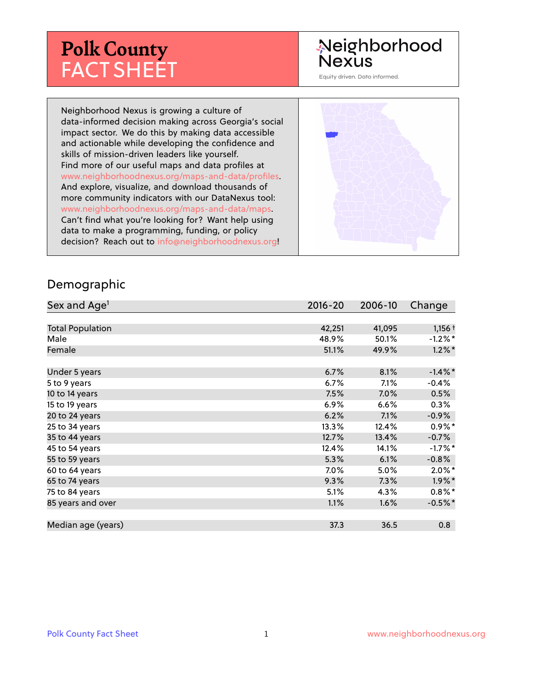## **Polk County** FACT SHEET

### Neighborhood **Nexus**

Equity driven. Data informed.

Neighborhood Nexus is growing a culture of data-informed decision making across Georgia's social impact sector. We do this by making data accessible and actionable while developing the confidence and skills of mission-driven leaders like yourself. Find more of our useful maps and data profiles at www.neighborhoodnexus.org/maps-and-data/profiles. And explore, visualize, and download thousands of more community indicators with our DataNexus tool: www.neighborhoodnexus.org/maps-and-data/maps. Can't find what you're looking for? Want help using data to make a programming, funding, or policy decision? Reach out to [info@neighborhoodnexus.org!](mailto:info@neighborhoodnexus.org)



#### Demographic

| Sex and Age <sup>1</sup> | $2016 - 20$ | 2006-10 | Change     |
|--------------------------|-------------|---------|------------|
|                          |             |         |            |
| <b>Total Population</b>  | 42,251      | 41,095  | $1,156 +$  |
| Male                     | 48.9%       | 50.1%   | $-1.2\%$ * |
| Female                   | 51.1%       | 49.9%   | $1.2\%$ *  |
|                          |             |         |            |
| Under 5 years            | 6.7%        | 8.1%    | $-1.4\%$ * |
| 5 to 9 years             | $6.7\%$     | 7.1%    | $-0.4%$    |
| 10 to 14 years           | 7.5%        | 7.0%    | 0.5%       |
| 15 to 19 years           | 6.9%        | 6.6%    | 0.3%       |
| 20 to 24 years           | 6.2%        | 7.1%    | $-0.9%$    |
| 25 to 34 years           | 13.3%       | 12.4%   | $0.9\%$ *  |
| 35 to 44 years           | 12.7%       | 13.4%   | $-0.7%$    |
| 45 to 54 years           | 12.4%       | 14.1%   | $-1.7%$ *  |
| 55 to 59 years           | 5.3%        | 6.1%    | $-0.8%$    |
| 60 to 64 years           | 7.0%        | 5.0%    | $2.0\%$ *  |
| 65 to 74 years           | 9.3%        | 7.3%    | $1.9\%$ *  |
| 75 to 84 years           | 5.1%        | 4.3%    | $0.8\%$ *  |
| 85 years and over        | 1.1%        | 1.6%    | $-0.5%$ *  |
|                          |             |         |            |
| Median age (years)       | 37.3        | 36.5    | 0.8        |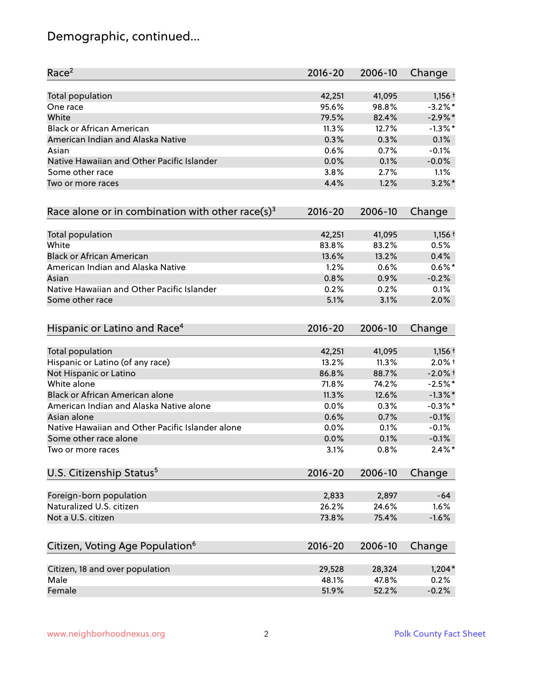### Demographic, continued...

| Race <sup>2</sup>                                   | $2016 - 20$ | 2006-10 | Change     |
|-----------------------------------------------------|-------------|---------|------------|
| <b>Total population</b>                             | 42,251      | 41,095  | $1,156+$   |
| One race                                            | 95.6%       | 98.8%   | $-3.2\%$ * |
| White                                               | 79.5%       | 82.4%   | $-2.9%$ *  |
| <b>Black or African American</b>                    | 11.3%       | 12.7%   | $-1.3\%$ * |
| American Indian and Alaska Native                   | 0.3%        | 0.3%    | 0.1%       |
| Asian                                               | 0.6%        | 0.7%    | $-0.1%$    |
| Native Hawaiian and Other Pacific Islander          | 0.0%        | 0.1%    | $-0.0%$    |
| Some other race                                     | 3.8%        | 2.7%    | 1.1%       |
| Two or more races                                   | 4.4%        | 1.2%    | $3.2\%$ *  |
| Race alone or in combination with other race(s) $3$ | $2016 - 20$ | 2006-10 | Change     |
| Total population                                    | 42,251      | 41,095  | $1,156 +$  |
| White                                               | 83.8%       | 83.2%   | 0.5%       |
| <b>Black or African American</b>                    | 13.6%       | 13.2%   | 0.4%       |
| American Indian and Alaska Native                   | 1.2%        | 0.6%    | $0.6\%$ *  |
| Asian                                               | 0.8%        | 0.9%    | $-0.2%$    |
| Native Hawaiian and Other Pacific Islander          | 0.2%        | 0.2%    | 0.1%       |
| Some other race                                     | 5.1%        | 3.1%    | 2.0%       |
| Hispanic or Latino and Race <sup>4</sup>            | $2016 - 20$ | 2006-10 | Change     |
| Total population                                    | 42,251      | 41,095  | $1,156+$   |
| Hispanic or Latino (of any race)                    | 13.2%       | 11.3%   | $2.0\%$ +  |
| Not Hispanic or Latino                              | 86.8%       | 88.7%   | $-2.0\%$ t |
| White alone                                         | 71.8%       | 74.2%   | $-2.5%$ *  |
| Black or African American alone                     | 11.3%       | 12.6%   | $-1.3\%$ * |
| American Indian and Alaska Native alone             | 0.0%        | 0.3%    | $-0.3\%$ * |
| Asian alone                                         | 0.6%        | 0.7%    | $-0.1%$    |
| Native Hawaiian and Other Pacific Islander alone    | 0.0%        | 0.1%    | $-0.1%$    |
| Some other race alone                               | 0.0%        | 0.1%    | $-0.1%$    |
| Two or more races                                   | 3.1%        | 0.8%    | $2.4\%$ *  |
| U.S. Citizenship Status <sup>5</sup>                | $2016 - 20$ | 2006-10 | Change     |
| Foreign-born population                             | 2,833       | 2,897   | $-64$      |
| Naturalized U.S. citizen                            | 26.2%       | 24.6%   | 1.6%       |
| Not a U.S. citizen                                  | 73.8%       | 75.4%   | $-1.6%$    |
| Citizen, Voting Age Population <sup>6</sup>         | $2016 - 20$ | 2006-10 | Change     |
|                                                     |             |         |            |
| Citizen, 18 and over population                     | 29,528      | 28,324  | $1,204*$   |
| Male                                                | 48.1%       | 47.8%   | 0.2%       |
| Female                                              | 51.9%       | 52.2%   | $-0.2%$    |
|                                                     |             |         |            |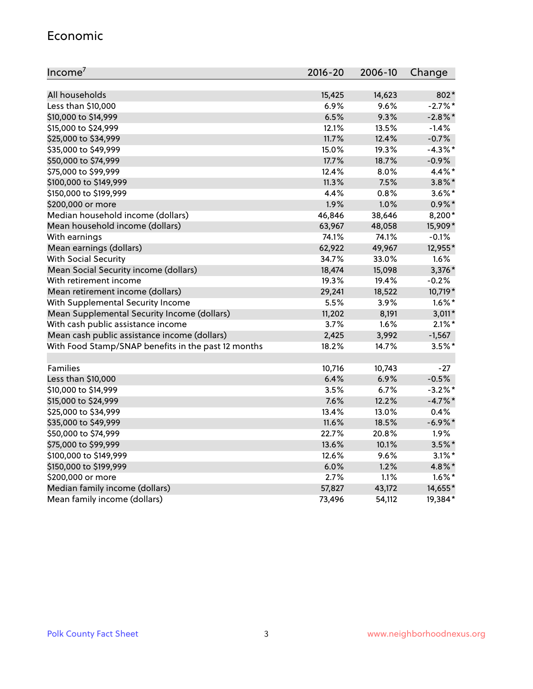#### Economic

| Income <sup>7</sup>                                 | $2016 - 20$ | 2006-10 | Change     |
|-----------------------------------------------------|-------------|---------|------------|
|                                                     |             |         |            |
| All households                                      | 15,425      | 14,623  | 802*       |
| Less than \$10,000                                  | 6.9%        | 9.6%    | $-2.7\%$ * |
| \$10,000 to \$14,999                                | 6.5%        | 9.3%    | $-2.8\%$ * |
| \$15,000 to \$24,999                                | 12.1%       | 13.5%   | $-1.4%$    |
| \$25,000 to \$34,999                                | 11.7%       | 12.4%   | $-0.7%$    |
| \$35,000 to \$49,999                                | 15.0%       | 19.3%   | $-4.3\%$ * |
| \$50,000 to \$74,999                                | 17.7%       | 18.7%   | $-0.9%$    |
| \$75,000 to \$99,999                                | 12.4%       | 8.0%    | 4.4%*      |
| \$100,000 to \$149,999                              | 11.3%       | 7.5%    | $3.8\%$ *  |
| \$150,000 to \$199,999                              | 4.4%        | 0.8%    | $3.6\%$ *  |
| \$200,000 or more                                   | 1.9%        | 1.0%    | $0.9\% *$  |
| Median household income (dollars)                   | 46,846      | 38,646  | 8,200*     |
| Mean household income (dollars)                     | 63,967      | 48,058  | 15,909*    |
| With earnings                                       | 74.1%       | 74.1%   | $-0.1%$    |
| Mean earnings (dollars)                             | 62,922      | 49,967  | 12,955*    |
| <b>With Social Security</b>                         | 34.7%       | 33.0%   | 1.6%       |
| Mean Social Security income (dollars)               | 18,474      | 15,098  | 3,376*     |
| With retirement income                              | 19.3%       | 19.4%   | $-0.2%$    |
| Mean retirement income (dollars)                    | 29,241      | 18,522  | 10,719*    |
| With Supplemental Security Income                   | 5.5%        | 3.9%    | $1.6\%$ *  |
| Mean Supplemental Security Income (dollars)         | 11,202      | 8,191   | $3,011*$   |
| With cash public assistance income                  | 3.7%        | 1.6%    | $2.1\%$ *  |
| Mean cash public assistance income (dollars)        | 2,425       | 3,992   | $-1,567$   |
| With Food Stamp/SNAP benefits in the past 12 months | 18.2%       | 14.7%   | $3.5\%$ *  |
|                                                     |             |         |            |
| Families                                            | 10,716      | 10,743  | $-27$      |
| Less than \$10,000                                  | 6.4%        | 6.9%    | $-0.5%$    |
| \$10,000 to \$14,999                                | 3.5%        | 6.7%    | $-3.2\%$ * |
| \$15,000 to \$24,999                                | 7.6%        | 12.2%   | $-4.7%$ *  |
| \$25,000 to \$34,999                                | 13.4%       | 13.0%   | 0.4%       |
| \$35,000 to \$49,999                                | 11.6%       | 18.5%   | $-6.9\%$ * |
| \$50,000 to \$74,999                                | 22.7%       | 20.8%   | 1.9%       |
| \$75,000 to \$99,999                                | 13.6%       | 10.1%   | $3.5\%$ *  |
| \$100,000 to \$149,999                              | 12.6%       | 9.6%    | $3.1\%$ *  |
| \$150,000 to \$199,999                              | 6.0%        | 1.2%    | 4.8%*      |
| \$200,000 or more                                   | 2.7%        | 1.1%    | $1.6\%$ *  |
| Median family income (dollars)                      | 57,827      | 43,172  | 14,655*    |
| Mean family income (dollars)                        | 73,496      | 54,112  | 19,384*    |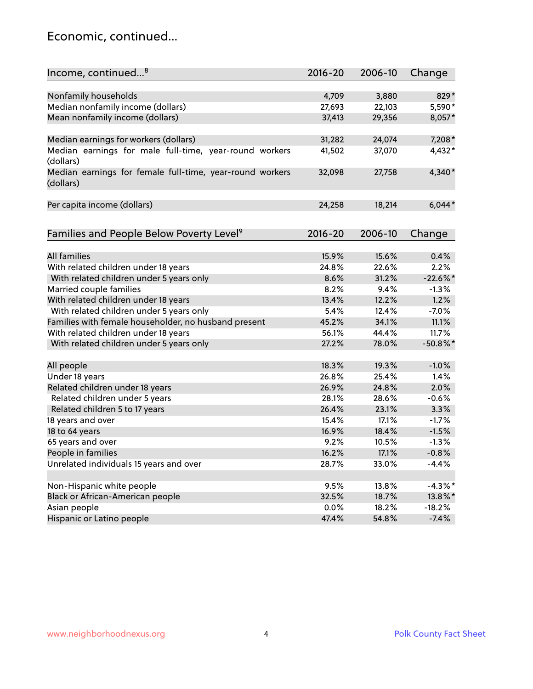#### Economic, continued...

| Income, continued <sup>8</sup>                                        | $2016 - 20$ | 2006-10 | Change      |
|-----------------------------------------------------------------------|-------------|---------|-------------|
|                                                                       |             |         |             |
| Nonfamily households                                                  | 4,709       | 3,880   | 829*        |
| Median nonfamily income (dollars)                                     | 27,693      | 22,103  | 5,590*      |
| Mean nonfamily income (dollars)                                       | 37,413      | 29,356  | 8,057*      |
| Median earnings for workers (dollars)                                 | 31,282      | 24,074  | 7,208*      |
| Median earnings for male full-time, year-round workers                | 41,502      | 37,070  | 4,432*      |
| (dollars)                                                             |             |         |             |
| Median earnings for female full-time, year-round workers<br>(dollars) | 32,098      | 27,758  | $4,340*$    |
| Per capita income (dollars)                                           | 24,258      | 18,214  | $6,044*$    |
|                                                                       |             |         |             |
| Families and People Below Poverty Level <sup>9</sup>                  | 2016-20     | 2006-10 | Change      |
|                                                                       |             |         |             |
| <b>All families</b>                                                   | 15.9%       | 15.6%   | 0.4%        |
| With related children under 18 years                                  | 24.8%       | 22.6%   | 2.2%        |
| With related children under 5 years only                              | 8.6%        | 31.2%   | $-22.6%$    |
| Married couple families                                               | 8.2%        | 9.4%    | $-1.3%$     |
| With related children under 18 years                                  | 13.4%       | 12.2%   | 1.2%        |
| With related children under 5 years only                              | 5.4%        | 12.4%   | $-7.0%$     |
| Families with female householder, no husband present                  | 45.2%       | 34.1%   | 11.1%       |
| With related children under 18 years                                  | 56.1%       | 44.4%   | 11.7%       |
| With related children under 5 years only                              | 27.2%       | 78.0%   | $-50.8\%$ * |
| All people                                                            | 18.3%       | 19.3%   | $-1.0%$     |
| Under 18 years                                                        | 26.8%       | 25.4%   | 1.4%        |
| Related children under 18 years                                       | 26.9%       | 24.8%   | 2.0%        |
| Related children under 5 years                                        | 28.1%       | 28.6%   | $-0.6%$     |
| Related children 5 to 17 years                                        | 26.4%       | 23.1%   | 3.3%        |
| 18 years and over                                                     | 15.4%       | 17.1%   | $-1.7%$     |
| 18 to 64 years                                                        | 16.9%       | 18.4%   | $-1.5%$     |
| 65 years and over                                                     | 9.2%        | 10.5%   | $-1.3%$     |
| People in families                                                    | 16.2%       | 17.1%   | $-0.8%$     |
| Unrelated individuals 15 years and over                               |             |         | $-4.4%$     |
|                                                                       | 28.7%       | 33.0%   |             |
|                                                                       |             |         |             |
| Non-Hispanic white people                                             | 9.5%        | 13.8%   | $-4.3\%$ *  |
| Black or African-American people                                      | 32.5%       | 18.7%   | 13.8%*      |
| Asian people                                                          | 0.0%        | 18.2%   | $-18.2%$    |
| Hispanic or Latino people                                             | 47.4%       | 54.8%   | $-7.4%$     |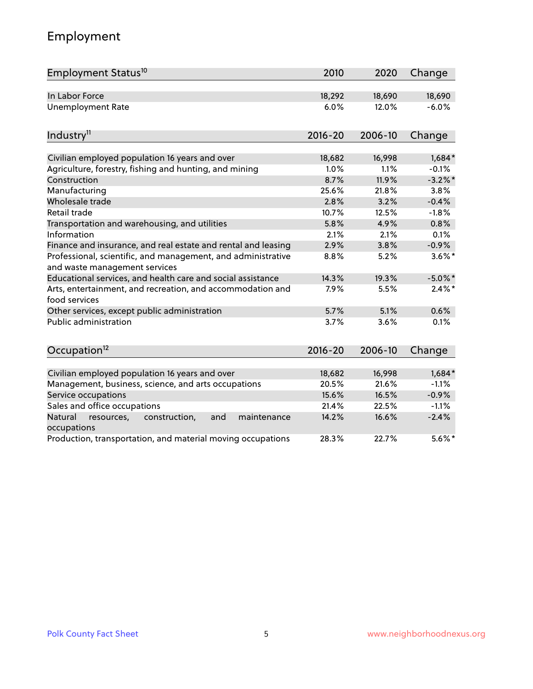### Employment

| Employment Status <sup>10</sup>                                                               | 2010        | 2020    | Change     |
|-----------------------------------------------------------------------------------------------|-------------|---------|------------|
| In Labor Force                                                                                | 18,292      | 18,690  | 18,690     |
| <b>Unemployment Rate</b>                                                                      | 6.0%        | 12.0%   | $-6.0%$    |
| Industry <sup>11</sup>                                                                        | $2016 - 20$ | 2006-10 | Change     |
|                                                                                               |             |         |            |
| Civilian employed population 16 years and over                                                | 18,682      | 16,998  | $1,684*$   |
| Agriculture, forestry, fishing and hunting, and mining                                        | 1.0%        | 1.1%    | $-0.1%$    |
| Construction                                                                                  | 8.7%        | 11.9%   | $-3.2%$ *  |
| Manufacturing                                                                                 | 25.6%       | 21.8%   | 3.8%       |
| Wholesale trade                                                                               | 2.8%        | 3.2%    | $-0.4%$    |
| Retail trade                                                                                  | 10.7%       | 12.5%   | $-1.8%$    |
| Transportation and warehousing, and utilities                                                 | 5.8%        | 4.9%    | 0.8%       |
| Information                                                                                   | 2.1%        | 2.1%    | 0.1%       |
| Finance and insurance, and real estate and rental and leasing                                 | 2.9%        | 3.8%    | $-0.9%$    |
| Professional, scientific, and management, and administrative<br>and waste management services | 8.8%        | 5.2%    | $3.6\%$ *  |
| Educational services, and health care and social assistance                                   | 14.3%       | 19.3%   | $-5.0\%$ * |
| Arts, entertainment, and recreation, and accommodation and<br>food services                   | 7.9%        | 5.5%    | $2.4\%$ *  |
| Other services, except public administration                                                  | 5.7%        | 5.1%    | 0.6%       |
| Public administration                                                                         | 3.7%        | 3.6%    | 0.1%       |
| Occupation <sup>12</sup>                                                                      | $2016 - 20$ | 2006-10 | Change     |
|                                                                                               |             |         |            |
| Civilian employed population 16 years and over                                                | 18,682      | 16,998  | $1,684*$   |
| Management, business, science, and arts occupations                                           | 20.5%       | 21.6%   | $-1.1%$    |
| Service occupations                                                                           | 15.6%       | 16.5%   | $-0.9%$    |
| Sales and office occupations                                                                  | 21.4%       | 22.5%   | $-1.1%$    |
| Natural<br>resources,<br>construction,<br>and<br>maintenance<br>occupations                   | 14.2%       | 16.6%   | $-2.4%$    |
| Production, transportation, and material moving occupations                                   | 28.3%       | 22.7%   | $5.6\%$ *  |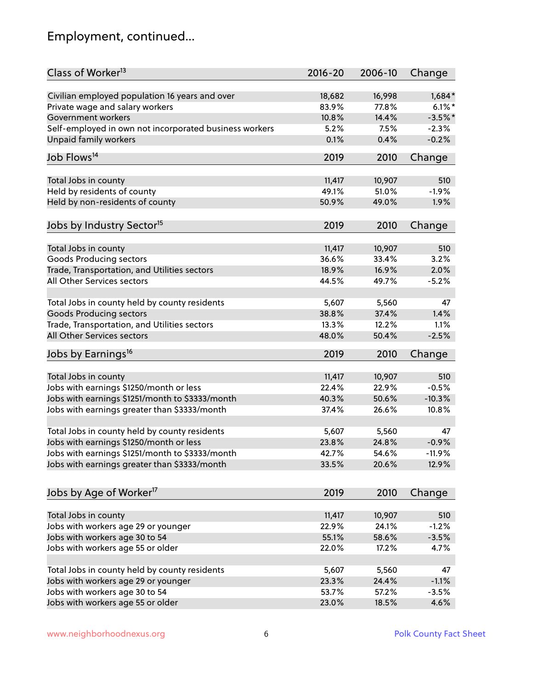### Employment, continued...

| Class of Worker <sup>13</sup>                          | $2016 - 20$ | 2006-10 | Change    |
|--------------------------------------------------------|-------------|---------|-----------|
| Civilian employed population 16 years and over         | 18,682      | 16,998  | $1,684*$  |
| Private wage and salary workers                        | 83.9%       | 77.8%   | $6.1\%$ * |
| Government workers                                     | 10.8%       | 14.4%   | $-3.5%$ * |
| Self-employed in own not incorporated business workers | 5.2%        | 7.5%    | $-2.3%$   |
| <b>Unpaid family workers</b>                           | 0.1%        | 0.4%    | $-0.2%$   |
| Job Flows <sup>14</sup>                                | 2019        | 2010    | Change    |
| Total Jobs in county                                   | 11,417      | 10,907  | 510       |
| Held by residents of county                            | 49.1%       | 51.0%   | $-1.9%$   |
| Held by non-residents of county                        | 50.9%       | 49.0%   | 1.9%      |
|                                                        |             |         |           |
| Jobs by Industry Sector <sup>15</sup>                  | 2019        | 2010    | Change    |
| Total Jobs in county                                   | 11,417      | 10,907  | 510       |
| <b>Goods Producing sectors</b>                         | 36.6%       | 33.4%   | 3.2%      |
| Trade, Transportation, and Utilities sectors           | 18.9%       | 16.9%   | 2.0%      |
| All Other Services sectors                             | 44.5%       | 49.7%   | $-5.2%$   |
|                                                        |             |         |           |
| Total Jobs in county held by county residents          | 5,607       | 5,560   | 47        |
| <b>Goods Producing sectors</b>                         | 38.8%       | 37.4%   | 1.4%      |
| Trade, Transportation, and Utilities sectors           | 13.3%       | 12.2%   | 1.1%      |
| All Other Services sectors                             | 48.0%       | 50.4%   | $-2.5%$   |
| Jobs by Earnings <sup>16</sup>                         | 2019        | 2010    | Change    |
| Total Jobs in county                                   | 11,417      | 10,907  | 510       |
|                                                        | 22.4%       | 22.9%   | $-0.5%$   |
| Jobs with earnings \$1250/month or less                |             |         |           |
| Jobs with earnings \$1251/month to \$3333/month        | 40.3%       | 50.6%   | $-10.3%$  |
| Jobs with earnings greater than \$3333/month           | 37.4%       | 26.6%   | 10.8%     |
| Total Jobs in county held by county residents          | 5,607       | 5,560   | 47        |
| Jobs with earnings \$1250/month or less                | 23.8%       | 24.8%   | $-0.9%$   |
| Jobs with earnings \$1251/month to \$3333/month        | 42.7%       | 54.6%   | $-11.9\%$ |
| Jobs with earnings greater than \$3333/month           | 33.5%       | 20.6%   | 12.9%     |
| Jobs by Age of Worker <sup>17</sup>                    | 2019        | 2010    | Change    |
|                                                        |             |         |           |
| Total Jobs in county                                   | 11,417      | 10,907  | 510       |
| Jobs with workers age 29 or younger                    | 22.9%       | 24.1%   | $-1.2%$   |
| Jobs with workers age 30 to 54                         | 55.1%       | 58.6%   | $-3.5%$   |
| Jobs with workers age 55 or older                      | 22.0%       | 17.2%   | 4.7%      |
| Total Jobs in county held by county residents          | 5,607       | 5,560   | 47        |
| Jobs with workers age 29 or younger                    | 23.3%       | 24.4%   | $-1.1%$   |
| Jobs with workers age 30 to 54                         | 53.7%       | 57.2%   | $-3.5%$   |
| Jobs with workers age 55 or older                      | 23.0%       | 18.5%   | 4.6%      |
|                                                        |             |         |           |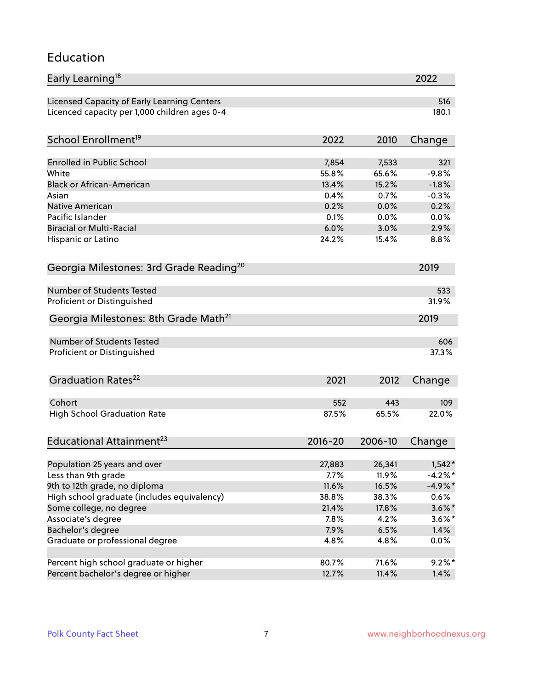#### Education

| Early Learning <sup>18</sup>                        |               |              | 2022               |
|-----------------------------------------------------|---------------|--------------|--------------------|
| Licensed Capacity of Early Learning Centers         |               |              | 516                |
| Licenced capacity per 1,000 children ages 0-4       |               |              | 180.1              |
| School Enrollment <sup>19</sup>                     | 2022          | 2010         | Change             |
|                                                     |               |              |                    |
| <b>Enrolled in Public School</b>                    | 7,854         | 7,533        | 321                |
| White                                               | 55.8%         | 65.6%        | $-9.8%$            |
| <b>Black or African-American</b>                    | 13.4%<br>0.4% | 15.2%        | $-1.8%$<br>$-0.3%$ |
| Asian                                               |               | 0.7%         |                    |
| <b>Native American</b><br>Pacific Islander          | 0.2%          | 0.0%         | 0.2%               |
| <b>Biracial or Multi-Racial</b>                     | 0.1%<br>6.0%  | 0.0%<br>3.0% | 0.0%<br>2.9%       |
|                                                     |               |              |                    |
| Hispanic or Latino                                  | 24.2%         | 15.4%        | 8.8%               |
| Georgia Milestones: 3rd Grade Reading <sup>20</sup> |               |              | 2019               |
| <b>Number of Students Tested</b>                    |               |              | 533                |
|                                                     |               |              | 31.9%              |
| Proficient or Distinguished                         |               |              |                    |
| Georgia Milestones: 8th Grade Math <sup>21</sup>    |               |              | 2019               |
| Number of Students Tested                           |               |              | 606                |
| Proficient or Distinguished                         |               |              | 37.3%              |
| Graduation Rates <sup>22</sup>                      | 2021          | 2012         | Change             |
|                                                     |               |              |                    |
| Cohort                                              | 552           | 443          | 109                |
| <b>High School Graduation Rate</b>                  | 87.5%         | 65.5%        | 22.0%              |
| Educational Attainment <sup>23</sup>                | $2016 - 20$   | 2006-10      | Change             |
| Population 25 years and over                        | 27,883        | 26,341       | $1,542*$           |
| Less than 9th grade                                 | 7.7%          | 11.9%        | $-4.2\%$ *         |
| 9th to 12th grade, no diploma                       | 11.6%         | 16.5%        | $-4.9\%$ *         |
| High school graduate (includes equivalency)         | 38.8%         | 38.3%        | 0.6%               |
| Some college, no degree                             | 21.4%         | 17.8%        | $3.6\%$ *          |
| Associate's degree                                  | 7.8%          | 4.2%         | $3.6\%$ *          |
| Bachelor's degree                                   | 7.9%          | 6.5%         | 1.4%               |
| Graduate or professional degree                     | 4.8%          | 4.8%         | 0.0%               |
|                                                     |               |              |                    |
| Percent high school graduate or higher              | 80.7%         | 71.6%        | $9.2\%$ *          |
| Percent bachelor's degree or higher                 | 12.7%         | 11.4%        | 1.4%               |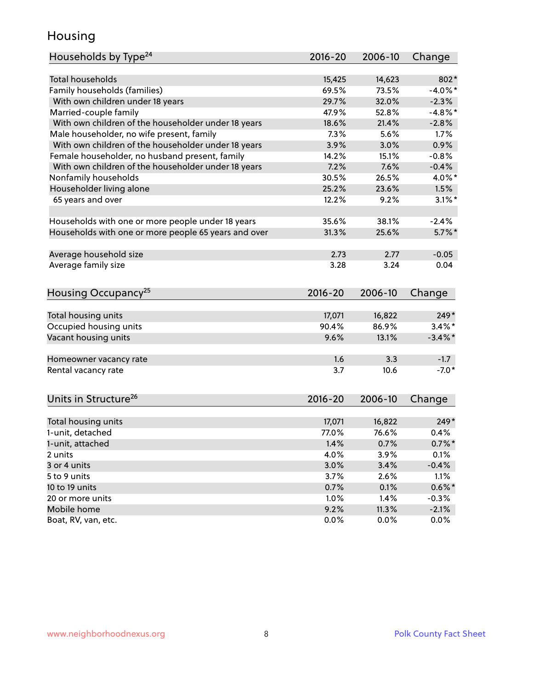#### Housing

| Households by Type <sup>24</sup>                     | 2016-20      | 2006-10       | Change             |
|------------------------------------------------------|--------------|---------------|--------------------|
|                                                      |              |               |                    |
| <b>Total households</b>                              | 15,425       | 14,623        | 802*               |
| Family households (families)                         | 69.5%        | 73.5%         | $-4.0\%$ *         |
| With own children under 18 years                     | 29.7%        | 32.0%         | $-2.3%$            |
| Married-couple family                                | 47.9%        | 52.8%         | $-4.8\%$ *         |
| With own children of the householder under 18 years  | 18.6%        | 21.4%         | $-2.8%$            |
| Male householder, no wife present, family            | 7.3%         | 5.6%          | 1.7%               |
| With own children of the householder under 18 years  | 3.9%         | 3.0%          | 0.9%               |
| Female householder, no husband present, family       | 14.2%        | 15.1%         | $-0.8%$            |
| With own children of the householder under 18 years  | 7.2%         | 7.6%          | $-0.4%$            |
| Nonfamily households                                 | 30.5%        | 26.5%         | 4.0%*              |
| Householder living alone                             | 25.2%        | 23.6%         | 1.5%               |
| 65 years and over                                    | 12.2%        | 9.2%          | $3.1\%$ *          |
|                                                      |              |               |                    |
| Households with one or more people under 18 years    | 35.6%        | 38.1%         | $-2.4%$            |
| Households with one or more people 65 years and over | 31.3%        | 25.6%         | $5.7\%$ *          |
|                                                      |              |               |                    |
| Average household size                               | 2.73         | 2.77          | $-0.05$            |
| Average family size                                  | 3.28         | 3.24          | 0.04               |
| Housing Occupancy <sup>25</sup>                      | 2016-20      | 2006-10       | Change             |
|                                                      |              |               |                    |
| Total housing units                                  | 17,071       | 16,822        | 249*               |
| Occupied housing units                               | 90.4%        | 86.9%         | $3.4\%$ *          |
| Vacant housing units                                 | 9.6%         | 13.1%         | $-3.4\%$ *         |
| Homeowner vacancy rate                               | 1.6          | 3.3           | $-1.7$             |
| Rental vacancy rate                                  | 3.7          | 10.6          | $-7.0*$            |
|                                                      |              |               |                    |
| Units in Structure <sup>26</sup>                     | $2016 - 20$  | 2006-10       | Change             |
| Total housing units                                  | 17,071       | 16,822        | $249*$             |
| 1-unit, detached                                     | 77.0%        | 76.6%         | 0.4%               |
| 1-unit, attached                                     | 1.4%         | 0.7%          | $0.7\%$ *          |
| 2 units                                              | 4.0%         | 3.9%          | 0.1%               |
| 3 or 4 units                                         | 3.0%         | 3.4%          | $-0.4%$            |
| 5 to 9 units                                         | 3.7%         | 2.6%          | 1.1%               |
| 10 to 19 units                                       | 0.7%         | 0.1%          | $0.6\%$ *          |
|                                                      |              |               |                    |
| 20 or more units<br>Mobile home                      | 1.0%<br>9.2% | 1.4%<br>11.3% | $-0.3%$<br>$-2.1%$ |
| Boat, RV, van, etc.                                  | 0.0%         | 0.0%          | $0.0\%$            |
|                                                      |              |               |                    |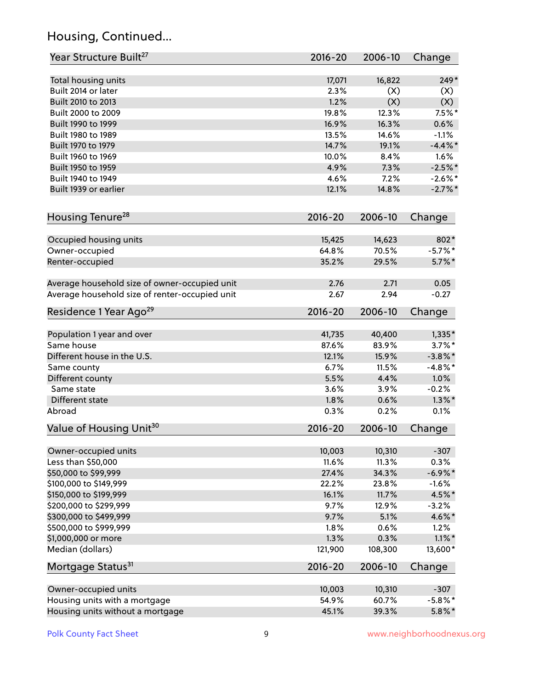### Housing, Continued...

| Year Structure Built <sup>27</sup>             | 2016-20     | 2006-10 | Change     |
|------------------------------------------------|-------------|---------|------------|
| Total housing units                            | 17,071      | 16,822  | $249*$     |
| Built 2014 or later                            | 2.3%        | (X)     | (X)        |
| Built 2010 to 2013                             | 1.2%        | (X)     | (X)        |
| Built 2000 to 2009                             | 19.8%       | 12.3%   | $7.5%$ *   |
| Built 1990 to 1999                             | 16.9%       | 16.3%   | 0.6%       |
| Built 1980 to 1989                             | 13.5%       | 14.6%   | $-1.1%$    |
| Built 1970 to 1979                             | 14.7%       | 19.1%   | $-4.4\%$ * |
| Built 1960 to 1969                             | 10.0%       | 8.4%    | 1.6%       |
| Built 1950 to 1959                             | 4.9%        | 7.3%    | $-2.5%$ *  |
| Built 1940 to 1949                             | 4.6%        | 7.2%    | $-2.6\%$ * |
| Built 1939 or earlier                          | 12.1%       | 14.8%   | $-2.7\%$ * |
|                                                |             |         |            |
| Housing Tenure <sup>28</sup>                   | $2016 - 20$ | 2006-10 | Change     |
| Occupied housing units                         | 15,425      | 14,623  | 802*       |
| Owner-occupied                                 | 64.8%       | 70.5%   | $-5.7\%$ * |
| Renter-occupied                                | 35.2%       | 29.5%   | $5.7\%$ *  |
|                                                |             |         |            |
| Average household size of owner-occupied unit  | 2.76        | 2.71    | 0.05       |
| Average household size of renter-occupied unit | 2.67        | 2.94    | $-0.27$    |
| Residence 1 Year Ago <sup>29</sup>             | $2016 - 20$ | 2006-10 | Change     |
| Population 1 year and over                     | 41,735      | 40,400  | $1,335*$   |
| Same house                                     | 87.6%       | 83.9%   | $3.7\%$ *  |
| Different house in the U.S.                    | 12.1%       | 15.9%   | $-3.8\%$ * |
| Same county                                    | 6.7%        | 11.5%   | $-4.8\%$ * |
| Different county                               | 5.5%        | 4.4%    | 1.0%       |
| Same state                                     | 3.6%        | 3.9%    | $-0.2%$    |
| Different state                                | 1.8%        | 0.6%    | $1.3\%$ *  |
| Abroad                                         | 0.3%        | 0.2%    | 0.1%       |
| Value of Housing Unit <sup>30</sup>            | $2016 - 20$ | 2006-10 | Change     |
|                                                |             |         |            |
| Owner-occupied units                           | 10,003      | 10,310  | $-307$     |
| Less than \$50,000                             | 11.6%       | 11.3%   | 0.3%       |
| \$50,000 to \$99,999                           | 27.4%       | 34.3%   | $-6.9\%$ * |
| \$100,000 to \$149,999                         | 22.2%       | 23.8%   | $-1.6%$    |
| \$150,000 to \$199,999                         | 16.1%       | 11.7%   | 4.5%*      |
| \$200,000 to \$299,999                         | 9.7%        | 12.9%   | $-3.2%$    |
| \$300,000 to \$499,999                         | 9.7%        | 5.1%    | 4.6%*      |
| \$500,000 to \$999,999                         | 1.8%        | 0.6%    | 1.2%       |
| \$1,000,000 or more                            | 1.3%        | 0.3%    | $1.1\%$ *  |
| Median (dollars)                               | 121,900     | 108,300 | 13,600*    |
| Mortgage Status <sup>31</sup>                  | $2016 - 20$ | 2006-10 | Change     |
| Owner-occupied units                           | 10,003      | 10,310  | $-307$     |
| Housing units with a mortgage                  | 54.9%       | 60.7%   | $-5.8\%$ * |
| Housing units without a mortgage               | 45.1%       | 39.3%   | $5.8\%$ *  |
|                                                |             |         |            |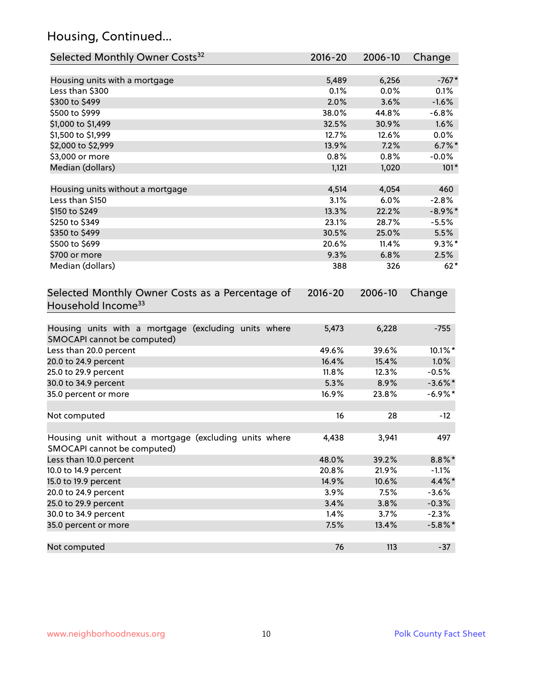### Housing, Continued...

| Selected Monthly Owner Costs <sup>32</sup>                                            | 2016-20 | 2006-10 | Change     |
|---------------------------------------------------------------------------------------|---------|---------|------------|
| Housing units with a mortgage                                                         | 5,489   | 6,256   | $-767*$    |
| Less than \$300                                                                       | 0.1%    | 0.0%    | 0.1%       |
| \$300 to \$499                                                                        | 2.0%    | 3.6%    | $-1.6%$    |
| \$500 to \$999                                                                        | 38.0%   | 44.8%   | $-6.8%$    |
| \$1,000 to \$1,499                                                                    | 32.5%   | 30.9%   | 1.6%       |
| \$1,500 to \$1,999                                                                    | 12.7%   | 12.6%   | $0.0\%$    |
| \$2,000 to \$2,999                                                                    | 13.9%   | 7.2%    | $6.7\%$ *  |
| \$3,000 or more                                                                       | 0.8%    | 0.8%    | $-0.0%$    |
| Median (dollars)                                                                      | 1,121   | 1,020   | $101*$     |
| Housing units without a mortgage                                                      | 4,514   | 4,054   | 460        |
| Less than \$150                                                                       | 3.1%    | 6.0%    | $-2.8%$    |
| \$150 to \$249                                                                        | 13.3%   | 22.2%   | $-8.9\%$ * |
| \$250 to \$349                                                                        | 23.1%   | 28.7%   | $-5.5%$    |
| \$350 to \$499                                                                        | 30.5%   | 25.0%   | 5.5%       |
| \$500 to \$699                                                                        | 20.6%   | 11.4%   | $9.3\%$ *  |
| \$700 or more                                                                         | 9.3%    | 6.8%    | 2.5%       |
| Median (dollars)                                                                      | 388     | 326     | $62*$      |
| Selected Monthly Owner Costs as a Percentage of<br>Household Income <sup>33</sup>     |         |         | Change     |
| Housing units with a mortgage (excluding units where<br>SMOCAPI cannot be computed)   | 5,473   | 6,228   | $-755$     |
| Less than 20.0 percent                                                                | 49.6%   | 39.6%   | 10.1%*     |
| 20.0 to 24.9 percent                                                                  | 16.4%   | 15.4%   | 1.0%       |
| 25.0 to 29.9 percent                                                                  | 11.8%   | 12.3%   | $-0.5%$    |
| 30.0 to 34.9 percent                                                                  | 5.3%    | 8.9%    | $-3.6\%$ * |
| 35.0 percent or more                                                                  | 16.9%   | 23.8%   | $-6.9\%*$  |
| Not computed                                                                          | 16      | 28      | $-12$      |
| Housing unit without a mortgage (excluding units where<br>SMOCAPI cannot be computed) | 4,438   | 3,941   | 497        |
| Less than 10.0 percent                                                                | 48.0%   | 39.2%   | $8.8\%$ *  |
| 10.0 to 14.9 percent                                                                  | 20.8%   | 21.9%   | $-1.1%$    |
| 15.0 to 19.9 percent                                                                  | 14.9%   | 10.6%   | 4.4%*      |
| 20.0 to 24.9 percent                                                                  | 3.9%    | 7.5%    | $-3.6%$    |
| 25.0 to 29.9 percent                                                                  | 3.4%    | 3.8%    | $-0.3%$    |
| 30.0 to 34.9 percent                                                                  | 1.4%    | 3.7%    | $-2.3%$    |
| 35.0 percent or more                                                                  | 7.5%    | 13.4%   | $-5.8\%$ * |
| Not computed                                                                          | 76      | 113     | $-37$      |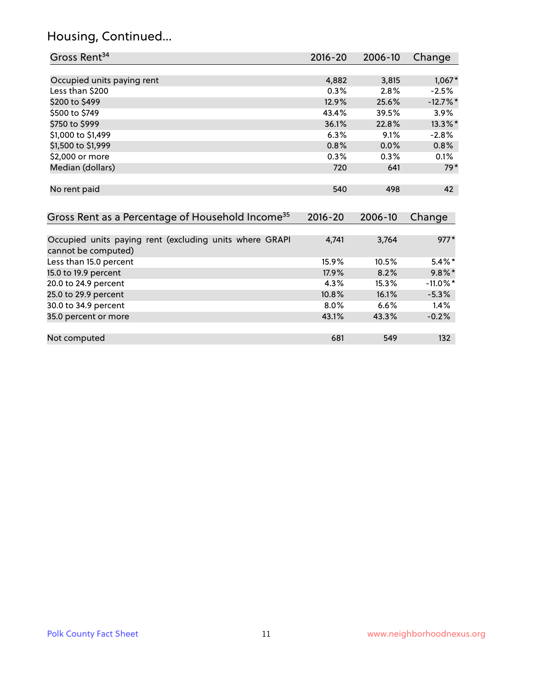### Housing, Continued...

| Gross Rent <sup>34</sup>                                     | 2016-20     | 2006-10 | Change      |
|--------------------------------------------------------------|-------------|---------|-------------|
|                                                              |             |         |             |
| Occupied units paying rent                                   | 4,882       | 3,815   | $1,067*$    |
| Less than \$200                                              | 0.3%        | 2.8%    | $-2.5%$     |
| \$200 to \$499                                               | 12.9%       | 25.6%   | $-12.7\%$ * |
| \$500 to \$749                                               | 43.4%       | 39.5%   | $3.9\%$     |
| \$750 to \$999                                               | 36.1%       | 22.8%   | 13.3%*      |
| \$1,000 to \$1,499                                           | 6.3%        | 9.1%    | $-2.8%$     |
| \$1,500 to \$1,999                                           | 0.8%        | 0.0%    | 0.8%        |
| \$2,000 or more                                              | 0.3%        | 0.3%    | 0.1%        |
| Median (dollars)                                             | 720         | 641     | $79*$       |
|                                                              |             |         |             |
| No rent paid                                                 | 540         | 498     | 42          |
|                                                              |             |         |             |
| Gross Rent as a Percentage of Household Income <sup>35</sup> | $2016 - 20$ | 2006-10 | Change      |
|                                                              |             |         |             |
| Occupied units paying rent (excluding units where GRAPI      | 4,741       | 3,764   | $977*$      |
| cannot be computed)                                          |             |         |             |
| Less than 15.0 percent                                       | 15.9%       | 10.5%   | $5.4\%$ *   |
| 15.0 to 19.9 percent                                         | 17.9%       | 8.2%    | $9.8\%$ *   |
| 20.0 to 24.9 percent                                         | 4.3%        | 15.3%   | $-11.0\%$ * |
| 25.0 to 29.9 percent                                         | 10.8%       | 16.1%   | $-5.3%$     |
| 30.0 to 34.9 percent                                         | 8.0%        | 6.6%    | 1.4%        |
| 35.0 percent or more                                         | 43.1%       | 43.3%   | $-0.2%$     |
|                                                              |             |         |             |
| Not computed                                                 | 681         | 549     | 132         |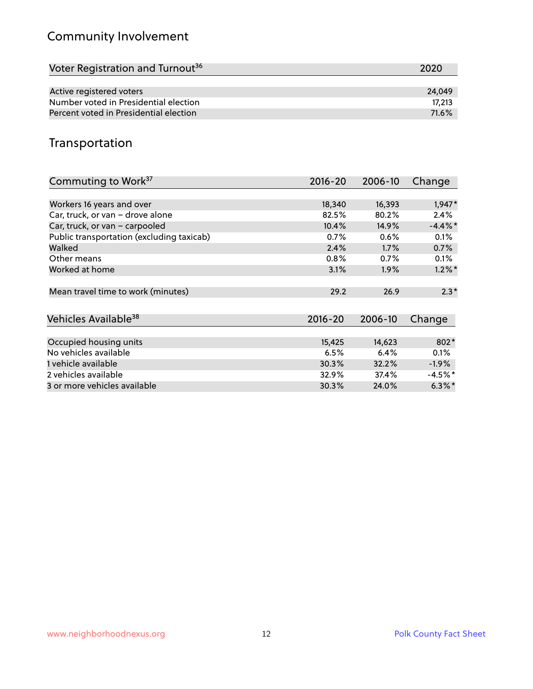### Community Involvement

| Voter Registration and Turnout <sup>36</sup> | 2020   |
|----------------------------------------------|--------|
|                                              |        |
| Active registered voters                     | 24.049 |
| Number voted in Presidential election        | 17.213 |
| Percent voted in Presidential election       | 71.6%  |

#### Transportation

| Commuting to Work <sup>37</sup>           | 2016-20     | 2006-10 | Change     |
|-------------------------------------------|-------------|---------|------------|
|                                           |             |         |            |
| Workers 16 years and over                 | 18,340      | 16,393  | $1,947*$   |
| Car, truck, or van - drove alone          | 82.5%       | 80.2%   | 2.4%       |
| Car, truck, or van - carpooled            | 10.4%       | 14.9%   | $-4.4\%$ * |
| Public transportation (excluding taxicab) | 0.7%        | 0.6%    | 0.1%       |
| Walked                                    | 2.4%        | 1.7%    | 0.7%       |
| Other means                               | 0.8%        | 0.7%    | $0.1\%$    |
| Worked at home                            | 3.1%        | 1.9%    | $1.2\%$ *  |
| Mean travel time to work (minutes)        | 29.2        | 26.9    | $2.3*$     |
|                                           |             |         |            |
| Vehicles Available <sup>38</sup>          | $2016 - 20$ | 2006-10 | Change     |
|                                           |             |         |            |
| Occupied housing units                    | 15,425      | 14,623  | 802*       |
| No vehicles available                     | 6.5%        | 6.4%    | 0.1%       |
| 1 vehicle available                       | 30.3%       | 32.2%   | $-1.9\%$   |
| 2 vehicles available                      | 32.9%       | 37.4%   | $-4.5\%$ * |
| 3 or more vehicles available              | 30.3%       | 24.0%   | $6.3\%$ *  |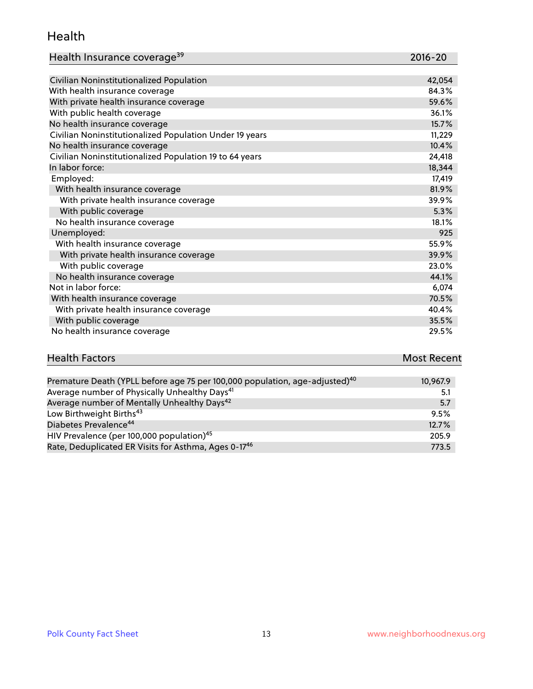#### Health

| Health Insurance coverage <sup>39</sup> | 2016-20 |
|-----------------------------------------|---------|
|-----------------------------------------|---------|

| Civilian Noninstitutionalized Population                | 42,054 |
|---------------------------------------------------------|--------|
| With health insurance coverage                          | 84.3%  |
| With private health insurance coverage                  | 59.6%  |
| With public health coverage                             | 36.1%  |
| No health insurance coverage                            | 15.7%  |
| Civilian Noninstitutionalized Population Under 19 years | 11,229 |
| No health insurance coverage                            | 10.4%  |
| Civilian Noninstitutionalized Population 19 to 64 years | 24,418 |
| In labor force:                                         | 18,344 |
| Employed:                                               | 17,419 |
| With health insurance coverage                          | 81.9%  |
| With private health insurance coverage                  | 39.9%  |
| With public coverage                                    | 5.3%   |
| No health insurance coverage                            | 18.1%  |
| Unemployed:                                             | 925    |
| With health insurance coverage                          | 55.9%  |
| With private health insurance coverage                  | 39.9%  |
| With public coverage                                    | 23.0%  |
| No health insurance coverage                            | 44.1%  |
| Not in labor force:                                     | 6,074  |
| With health insurance coverage                          | 70.5%  |
| With private health insurance coverage                  | 40.4%  |
| With public coverage                                    | 35.5%  |
| No health insurance coverage                            | 29.5%  |

# **Health Factors Most Recent** And The Control of the Control of The Control of The Control of The Control of The Control of The Control of The Control of The Control of The Control of The Control of The Control of The Contr

| Premature Death (YPLL before age 75 per 100,000 population, age-adjusted) <sup>40</sup> | 10,967.9 |
|-----------------------------------------------------------------------------------------|----------|
| Average number of Physically Unhealthy Days <sup>41</sup>                               | 5.1      |
| Average number of Mentally Unhealthy Days <sup>42</sup>                                 | 5.7      |
| Low Birthweight Births <sup>43</sup>                                                    | 9.5%     |
| Diabetes Prevalence <sup>44</sup>                                                       | 12.7%    |
| HIV Prevalence (per 100,000 population) <sup>45</sup>                                   | 205.9    |
| Rate, Deduplicated ER Visits for Asthma, Ages 0-17 <sup>46</sup>                        | 773.5    |